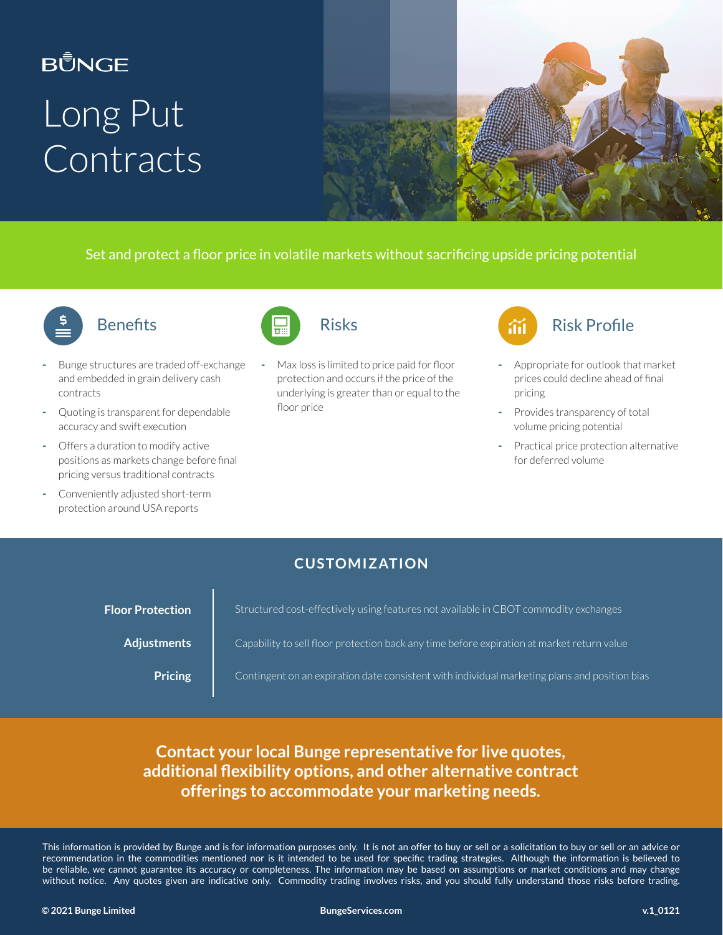# **BŮNGE** Long Put Contracts



Set and protect a floor price in volatile markets without sacrificing upside pricing potential



#### **Benefits**

- Bunge structures are traded off-exchange and embedded in grain delivery cash contracts
- Quoting is transparent for dependable accuracy and swift execution
- Offers a duration to modify active positions as markets change before final pricing versus traditional contracts
- Conveniently adjusted short-term protection around USA reports



Max loss is limited to price paid for floor protection and occurs if the price of the underlying is greater than or equal to the floor price



- Appropriate for outlook that market prices could decline ahead of final pricing
- Provides transparency of total volume pricing potential
- Practical price protection alternative for deferred volume

#### **CUSTOMIZATION**

| <b>Floor Protection</b> | Structured cost-effectively using features not available in CBOT commodity exchanges          |
|-------------------------|-----------------------------------------------------------------------------------------------|
| <b>Adjustments</b>      | Capability to sell floor protection back any time before expiration at market return value    |
| <b>Pricing</b>          | Contingent on an expiration date consistent with individual marketing plans and position bias |

#### **Contact your local Bunge representative for live quotes, additional flexibility options, and other alternative contract offerings to accommodate your marketing needs.**

This information is provided by Bunge and is for information purposes only. It is not an offer to buy or sell or a solicitation to buy or sell or an advice or recommendation in the commodities mentioned nor is it intended to be used for specific trading strategies. Although the information is believed to be reliable, we cannot guarantee its accuracy or completeness. The information may be based on assumptions or market conditions and may change without notice. Any quotes given are indicative only. Commodity trading involves risks, and you should fully understand those risks before trading.